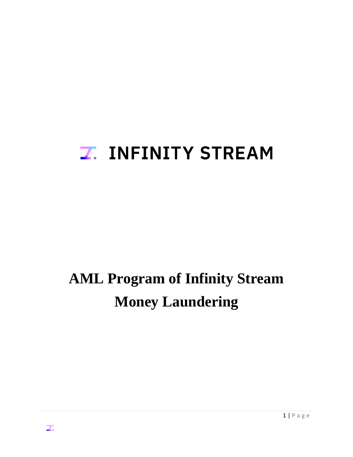# **Z. INFINITY STREAM**

# **AML Program of Infinity Stream Money Laundering**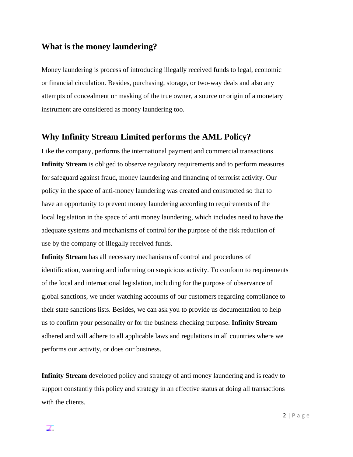## **What is the money laundering?**

Money laundering is process of introducing illegally received funds to legal, economic or financial circulation. Besides, purchasing, storage, or two-way deals and also any attempts of concealment or masking of the true owner, a source or origin of a monetary instrument are considered as money laundering too.

### **Why Infinity Stream Limited performs the AML Policy?**

Like the company, performs the international payment and commercial transactions **Infinity Stream** is obliged to observe regulatory requirements and to perform measures for safeguard against fraud, money laundering and financing of terrorist activity. Our policy in the space of anti-money laundering was created and constructed so that to have an opportunity to prevent money laundering according to requirements of the local legislation in the space of anti money laundering, which includes need to have the adequate systems and mechanisms of control for the purpose of the risk reduction of use by the company of illegally received funds.

**Infinity Stream** has all necessary mechanisms of control and procedures of identification, warning and informing on suspicious activity. To conform to requirements of the local and international legislation, including for the purpose of observance of global sanctions, we under watching accounts of our customers regarding compliance to their state sanctions lists. Besides, we can ask you to provide us documentation to help us to confirm your personality or for the business checking purpose. **Infinity Stream** adhered and will adhere to all applicable laws and regulations in all countries where we performs our activity, or does our business.

**Infinity Stream** developed policy and strategy of anti money laundering and is ready to support constantly this policy and strategy in an effective status at doing all transactions with the clients.

Z.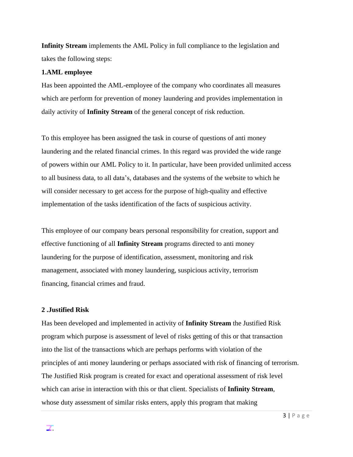**Infinity Stream** implements the AML Policy in full compliance to the legislation and takes the following steps:

#### **1.AML employee**

Has been appointed the AML-employee of the company who coordinates all measures which are perform for prevention of money laundering and provides implementation in daily activity of **Infinity Stream** of the general concept of risk reduction.

To this employee has been assigned the task in course of questions of anti money laundering and the related financial crimes. In this regard was provided the wide range of powers within our AML Policy to it. In particular, have been provided unlimited access to all business data, to all data's, databases and the systems of the website to which he will consider necessary to get access for the purpose of high-quality and effective implementation of the tasks identification of the facts of suspicious activity.

This employee of our company bears personal responsibility for creation, support and effective functioning of all **Infinity Stream** programs directed to anti money laundering for the purpose of identification, assessment, monitoring and risk management, associated with money laundering, suspicious activity, terrorism financing, financial crimes and fraud.

#### **2 .Justified Risk**

Has been developed and implemented in activity of **Infinity Stream** the Justified Risk program which purpose is assessment of level of risks getting of this or that transaction into the list of the transactions which are perhaps performs with violation of the principles of anti money laundering or perhaps associated with risk of financing of terrorism. The Justified Risk program is created for exact and operational assessment of risk level which can arise in interaction with this or that client. Specialists of **Infinity Stream**, whose duty assessment of similar risks enters, apply this program that making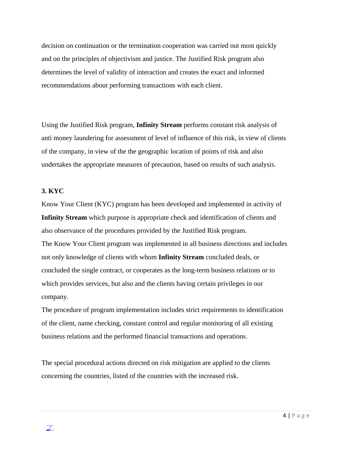decision on continuation or the termination cooperation was carried out most quickly and on the principles of objectivism and justice. The Justified Risk program also determines the level of validity of interaction and creates the exact and informed recommendations about performing transactions with each client.

Using the Justified Risk program, **Infinity Stream** performs constant risk analysis of anti money laundering for assessment of level of influence of this risk, in view of clients of the company, in view of the the geographic location of points of risk and also undertakes the appropriate measures of precaution, based on results of such analysis.

#### **3. KYC**

Know Your Client (KYC) program has been developed and implemented in activity of **Infinity Stream** which purpose is appropriate check and identification of clients and also observance of the procedures provided by the Justified Risk program.

The Know Your Client program was implemented in all business directions and includes not only knowledge of clients with whom **Infinity Stream** concluded deals, or concluded the single contract, or cooperates as the long-term business relations or to which provides services, but also and the clients having certain privileges in our company.

The procedure of program implementation includes strict requirements to identification of the client, name checking, constant control and regular monitoring of all existing business relations and the performed financial transactions and operations.

The special procedural actions directed on risk mitigation are applied to the clients concerning the countries, listed of the countries with the increased risk.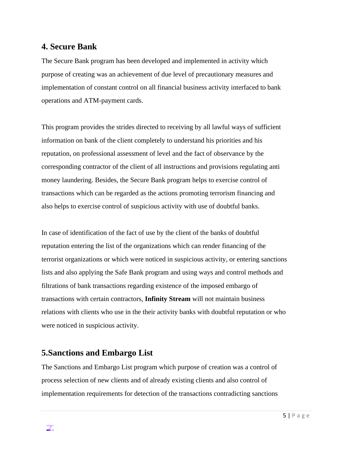### **4. Secure Bank**

The Secure Bank program has been developed and implemented in activity which purpose of creating was an achievement of due level of precautionary measures and implementation of constant control on all financial business activity interfaced to bank operations and ATM-payment cards.

This program provides the strides directed to receiving by all lawful ways of sufficient information on bank of the client completely to understand his priorities and his reputation, on professional assessment of level and the fact of observance by the corresponding contractor of the client of all instructions and provisions regulating anti money laundering. Besides, the Secure Bank program helps to exercise control of transactions which can be regarded as the actions promoting terrorism financing and also helps to exercise control of suspicious activity with use of doubtful banks.

In case of identification of the fact of use by the client of the banks of doubtful reputation entering the list of the organizations which can render financing of the terrorist organizations or which were noticed in suspicious activity, or entering sanctions lists and also applying the Safe Bank program and using ways and control methods and filtrations of bank transactions regarding existence of the imposed embargo of transactions with certain contractors, **Infinity Stream** will not maintain business relations with clients who use in the their activity banks with doubtful reputation or who were noticed in suspicious activity.

## **5.Sanctions and Embargo List**

The Sanctions and Embargo List program which purpose of creation was a control of process selection of new clients and of already existing clients and also control of implementation requirements for detection of the transactions contradicting sanctions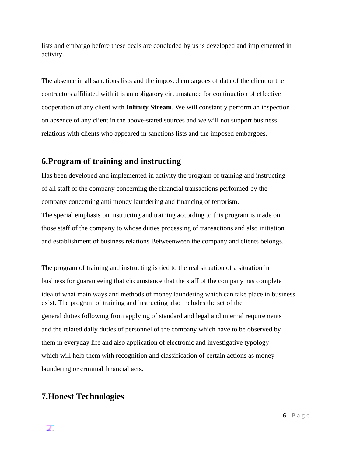lists and embargo before these deals are concluded by us is developed and implemented in activity.

The absence in all sanctions lists and the imposed embargoes of data of the client or the contractors affiliated with it is an obligatory circumstance for continuation of effective cooperation of any client with **Infinity Stream**. We will constantly perform an inspection on absence of any client in the above-stated sources and we will not support business relations with clients who appeared in sanctions lists and the imposed embargoes.

## **6.Program of training and instructing**

Has been developed and implemented in activity the program of training and instructing of all staff of the company concerning the financial transactions performed by the company concerning anti money laundering and financing of terrorism.

The special emphasis on instructing and training according to this program is made on those staff of the company to whose duties processing of transactions and also initiation and establishment of business relations Betweenween the company and clients belongs.

The program of training and instructing is tied to the real situation of a situation in business for guaranteeing that circumstance that the staff of the company has complete idea of what main ways and methods of money laundering which can take place in business exist. The program of training and instructing also includes the set of the general duties following from applying of standard and legal and internal requirements and the related daily duties of personnel of the company which have to be observed by them in everyday life and also application of electronic and investigative typology which will help them with recognition and classification of certain actions as money laundering or criminal financial acts.

# **7.Honest Technologies**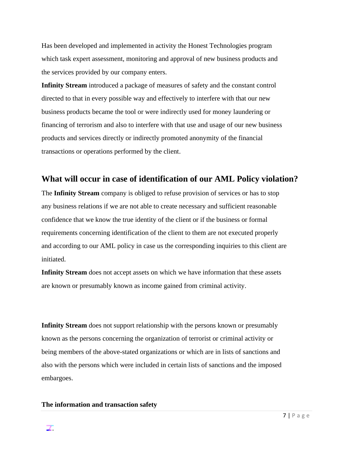Has been developed and implemented in activity the Honest Technologies program which task expert assessment, monitoring and approval of new business products and the services provided by our company enters.

**Infinity Stream** introduced a package of measures of safety and the constant control directed to that in every possible way and effectively to interfere with that our new business products became the tool or were indirectly used for money laundering or financing of terrorism and also to interfere with that use and usage of our new business products and services directly or indirectly promoted anonymity of the financial transactions or operations performed by the client.

## **What will occur in case of identification of our AML Policy violation?**

The **Infinity Stream** company is obliged to refuse provision of services or has to stop any business relations if we are not able to create necessary and sufficient reasonable confidence that we know the true identity of the client or if the business or formal requirements concerning identification of the client to them are not executed properly and according to our AML policy in case us the corresponding inquiries to this client are initiated.

**Infinity Stream** does not accept assets on which we have information that these assets are known or presumably known as income gained from criminal activity.

**Infinity Stream** does not support relationship with the persons known or presumably known as the persons concerning the organization of terrorist or criminal activity or being members of the above-stated organizations or which are in lists of sanctions and also with the persons which were included in certain lists of sanctions and the imposed embargoes.

#### **The information and transaction safety**